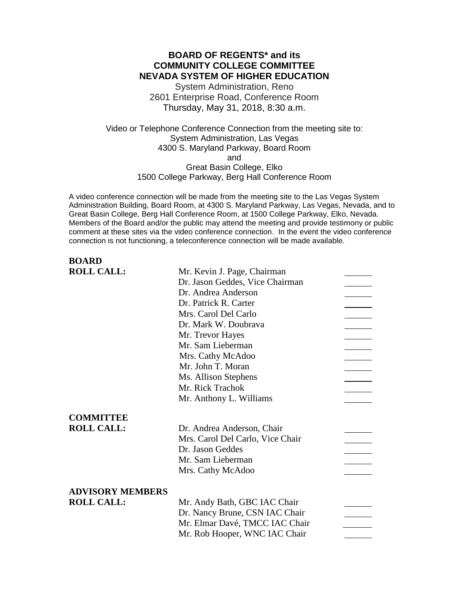# **BOARD OF REGENTS\* and its COMMUNITY COLLEGE COMMITTEE NEVADA SYSTEM OF HIGHER EDUCATION**

System Administration, Reno 2601 Enterprise Road, Conference Room Thursday, May 31, 2018, 8:30 a.m.

Video or Telephone Conference Connection from the meeting site to: System Administration, Las Vegas 4300 S. Maryland Parkway, Board Room and Great Basin College, Elko 1500 College Parkway, Berg Hall Conference Room

A video conference connection will be made from the meeting site to the Las Vegas System Administration Building, Board Room, at 4300 S. Maryland Parkway, Las Vegas, Nevada, and to Great Basin College, Berg Hall Conference Room, at 1500 College Parkway, Elko, Nevada. Members of the Board and/or the public may attend the meeting and provide testimony or public comment at these sites via the video conference connection. In the event the video conference connection is not functioning, a teleconference connection will be made available.

# **BOARD**<br>**BOLL CALL**

| <b>ROLL CALL:</b>       | Mr. Kevin J. Page, Chairman      |  |
|-------------------------|----------------------------------|--|
|                         | Dr. Jason Geddes, Vice Chairman  |  |
|                         | Dr. Andrea Anderson              |  |
|                         | Dr. Patrick R. Carter            |  |
|                         | Mrs. Carol Del Carlo             |  |
|                         | Dr. Mark W. Doubrava             |  |
|                         | Mr. Trevor Hayes                 |  |
|                         | Mr. Sam Lieberman                |  |
|                         | Mrs. Cathy McAdoo                |  |
|                         | Mr. John T. Moran                |  |
|                         | Ms. Allison Stephens             |  |
|                         | Mr. Rick Trachok                 |  |
|                         | Mr. Anthony L. Williams          |  |
|                         |                                  |  |
| <b>COMMITTEE</b>        |                                  |  |
| <b>ROLL CALL:</b>       | Dr. Andrea Anderson, Chair       |  |
|                         | Mrs. Carol Del Carlo, Vice Chair |  |
|                         | Dr. Jason Geddes                 |  |
|                         | Mr. Sam Lieberman                |  |
|                         | Mrs. Cathy McAdoo                |  |
|                         |                                  |  |
| <b>ADVISORY MEMBERS</b> |                                  |  |
| <b>ROLL CALL:</b>       | Mr. Andy Bath, GBC IAC Chair     |  |
|                         | Dr. Nancy Brune, CSN IAC Chair   |  |
|                         | Mr. Elmar Davé, TMCC IAC Chair   |  |
|                         | Mr. Rob Hooper, WNC IAC Chair    |  |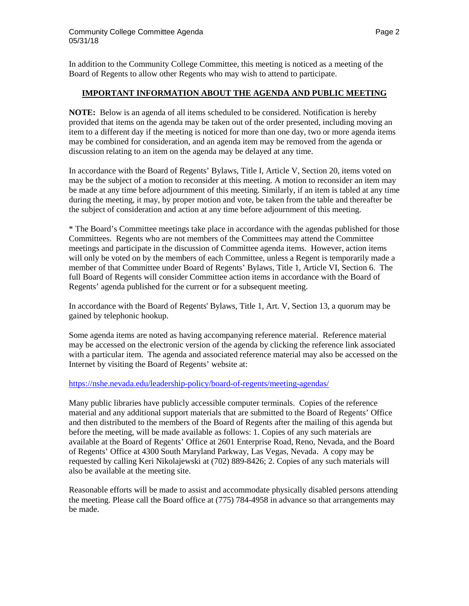In addition to the Community College Committee, this meeting is noticed as a meeting of the Board of Regents to allow other Regents who may wish to attend to participate.

### **IMPORTANT INFORMATION ABOUT THE AGENDA AND PUBLIC MEETING**

**NOTE:** Below is an agenda of all items scheduled to be considered. Notification is hereby provided that items on the agenda may be taken out of the order presented, including moving an item to a different day if the meeting is noticed for more than one day, two or more agenda items may be combined for consideration, and an agenda item may be removed from the agenda or discussion relating to an item on the agenda may be delayed at any time.

In accordance with the Board of Regents' Bylaws, Title I, Article V, Section 20, items voted on may be the subject of a motion to reconsider at this meeting. A motion to reconsider an item may be made at any time before adjournment of this meeting. Similarly, if an item is tabled at any time during the meeting, it may, by proper motion and vote, be taken from the table and thereafter be the subject of consideration and action at any time before adjournment of this meeting.

\* The Board's Committee meetings take place in accordance with the agendas published for those Committees. Regents who are not members of the Committees may attend the Committee meetings and participate in the discussion of Committee agenda items. However, action items will only be voted on by the members of each Committee, unless a Regent is temporarily made a member of that Committee under Board of Regents' Bylaws, Title 1, Article VI, Section 6. The full Board of Regents will consider Committee action items in accordance with the Board of Regents' agenda published for the current or for a subsequent meeting.

In accordance with the Board of Regents' Bylaws, Title 1, Art. V, Section 13, a quorum may be gained by telephonic hookup.

Some agenda items are noted as having accompanying reference material. Reference material may be accessed on the electronic version of the agenda by clicking the reference link associated with a particular item. The agenda and associated reference material may also be accessed on the Internet by visiting the Board of Regents' website at:

### <https://nshe.nevada.edu/leadership-policy/board-of-regents/meeting-agendas/>

Many public libraries have publicly accessible computer terminals. Copies of the reference material and any additional support materials that are submitted to the Board of Regents' Office and then distributed to the members of the Board of Regents after the mailing of this agenda but before the meeting, will be made available as follows: 1. Copies of any such materials are available at the Board of Regents' Office at 2601 Enterprise Road, Reno, Nevada, and the Board of Regents' Office at 4300 South Maryland Parkway, Las Vegas, Nevada. A copy may be requested by calling Keri Nikolajewski at (702) 889-8426; 2. Copies of any such materials will also be available at the meeting site.

Reasonable efforts will be made to assist and accommodate physically disabled persons attending the meeting. Please call the Board office at (775) 784-4958 in advance so that arrangements may be made.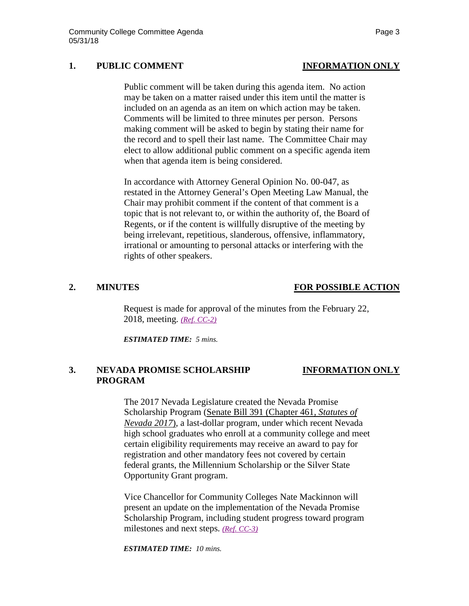## **1. PUBLIC COMMENT INFORMATION ONLY**

Public comment will be taken during this agenda item. No action may be taken on a matter raised under this item until the matter is included on an agenda as an item on which action may be taken. Comments will be limited to three minutes per person. Persons making comment will be asked to begin by stating their name for the record and to spell their last name. The Committee Chair may elect to allow additional public comment on a specific agenda item when that agenda item is being considered.

In accordance with Attorney General Opinion No. 00-047, as restated in the Attorney General's Open Meeting Law Manual, the Chair may prohibit comment if the content of that comment is a topic that is not relevant to, or within the authority of, the Board of Regents, or if the content is willfully disruptive of the meeting by being irrelevant, repetitious, slanderous, offensive, inflammatory, irrational or amounting to personal attacks or interfering with the rights of other speakers.

# **2. MINUTES FOR POSSIBLE ACTION**

Request is made for approval of the minutes from the February 22, 2018, meeting. *[\(Ref. CC-2\)](https://nshe.nevada.edu/wp-content/uploads/file/BoardOfRegents/Agendas/2018/may-mtgs/cc-refs/CC-2.pdf)*

*ESTIMATED TIME: 5 mins.*

# **3. NEVADA PROMISE SCHOLARSHIP INFORMATION ONLY PROGRAM**

The 2017 Nevada Legislature created the Nevada Promise Scholarship Program [\(Senate Bill 391 \(Chapter 461,](https://na01.safelinks.protection.outlook.com/?url=https%3A%2F%2Fwww.leg.state.nv.us%2FSession%2F79th2017%2FReports%2Fhistory.cfm%3Fbillname%3DSB391&data=02%7C01%7CCABBA%40nshe.nevada.edu%7Cca89aec595fd41c5e11a08d4e417e634%7C8ff9d11a9e074150ac216eedccccc3d3%7C0%7C0%7C636384238695398974&sdata=nfcWjuEqrk1juerwI%2BKkXmfcUFdhxNasNq8vf9jD%2BJA%3D&reserved=0) *Statutes of [Nevada 2017](https://na01.safelinks.protection.outlook.com/?url=https%3A%2F%2Fwww.leg.state.nv.us%2FSession%2F79th2017%2FReports%2Fhistory.cfm%3Fbillname%3DSB391&data=02%7C01%7CCABBA%40nshe.nevada.edu%7Cca89aec595fd41c5e11a08d4e417e634%7C8ff9d11a9e074150ac216eedccccc3d3%7C0%7C0%7C636384238695398974&sdata=nfcWjuEqrk1juerwI%2BKkXmfcUFdhxNasNq8vf9jD%2BJA%3D&reserved=0)*), a last-dollar program, under which recent Nevada high school graduates who enroll at a community college and meet certain eligibility requirements may receive an award to pay for registration and other mandatory fees not covered by certain federal grants, the Millennium Scholarship or the Silver State Opportunity Grant program.

Vice Chancellor for Community Colleges Nate Mackinnon will present an update on the implementation of the Nevada Promise Scholarship Program, including student progress toward program milestones and next steps. *[\(Ref. CC-3\)](https://nshe.nevada.edu/wp-content/uploads/file/BoardOfRegents/Agendas/2018/may-mtgs/cc-refs/CC-3.pdf)*

*ESTIMATED TIME: 10 mins.*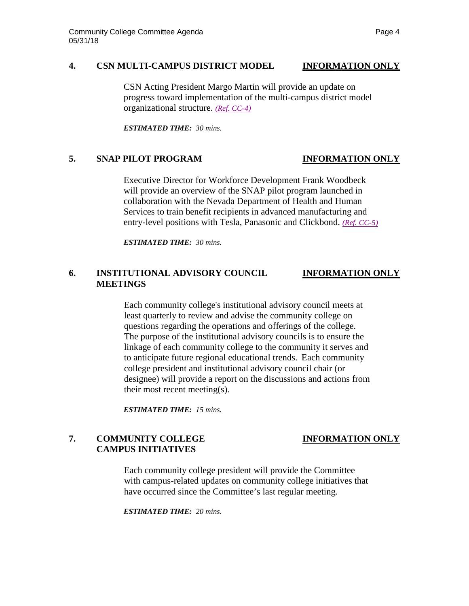## **4. CSN MULTI-CAMPUS DISTRICT MODEL INFORMATION ONLY**

CSN Acting President Margo Martin will provide an update on progress toward implementation of the multi-campus district model organizational structure. *[\(Ref. CC-4\)](https://nshe.nevada.edu/wp-content/uploads/file/BoardOfRegents/Agendas/2018/may-mtgs/cc-refs/CC-4.pdf)*

*ESTIMATED TIME: 30 mins.*

# **5. SNAP PILOT PROGRAM INFORMATION ONLY**

Executive Director for Workforce Development Frank Woodbeck will provide an overview of the SNAP pilot program launched in collaboration with the Nevada Department of Health and Human Services to train benefit recipients in advanced manufacturing and entry-level positions with Tesla, Panasonic and Clickbond. *[\(Ref. CC-5\)](https://nshe.nevada.edu/wp-content/uploads/file/BoardOfRegents/Agendas/2018/may-mtgs/cc-refs/CC-5.pdf)*

*ESTIMATED TIME: 30 mins.*

# **6. INSTITUTIONAL ADVISORY COUNCIL INFORMATION ONLY MEETINGS**

Each community college's institutional advisory council meets at least quarterly to review and advise the community college on questions regarding the operations and offerings of the college. The purpose of the institutional advisory councils is to ensure the linkage of each community college to the community it serves and to anticipate future regional educational trends. Each community college president and institutional advisory council chair (or designee) will provide a report on the discussions and actions from their most recent meeting(s).

*ESTIMATED TIME: 15 mins.*

# **7. COMMUNITY COLLEGE INFORMATION ONLY CAMPUS INITIATIVES**

Each community college president will provide the Committee with campus-related updates on community college initiatives that have occurred since the Committee's last regular meeting.

*ESTIMATED TIME: 20 mins.*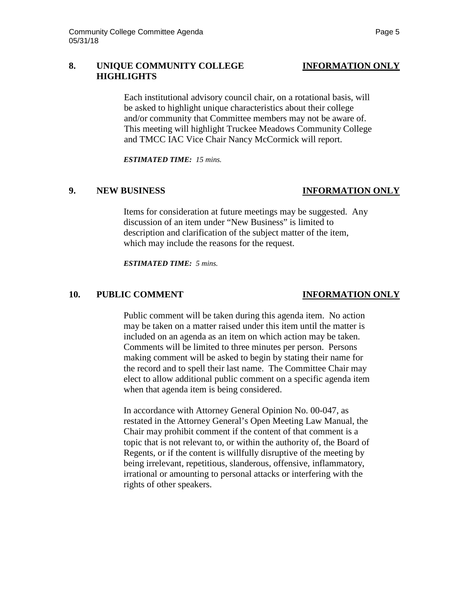# **8. UNIQUE COMMUNITY COLLEGE INFORMATION ONLY HIGHLIGHTS**

Each institutional advisory council chair, on a rotational basis, will be asked to highlight unique characteristics about their college and/or community that Committee members may not be aware of. This meeting will highlight Truckee Meadows Community College and TMCC IAC Vice Chair Nancy McCormick will report.

*ESTIMATED TIME: 15 mins.*

## **9. NEW BUSINESS INFORMATION ONLY**

Items for consideration at future meetings may be suggested. Any discussion of an item under "New Business" is limited to description and clarification of the subject matter of the item, which may include the reasons for the request.

*ESTIMATED TIME: 5 mins.*

# **10. PUBLIC COMMENT INFORMATION ONLY**

Public comment will be taken during this agenda item. No action may be taken on a matter raised under this item until the matter is included on an agenda as an item on which action may be taken. Comments will be limited to three minutes per person. Persons making comment will be asked to begin by stating their name for the record and to spell their last name. The Committee Chair may elect to allow additional public comment on a specific agenda item when that agenda item is being considered.

In accordance with Attorney General Opinion No. 00-047, as restated in the Attorney General's Open Meeting Law Manual, the Chair may prohibit comment if the content of that comment is a topic that is not relevant to, or within the authority of, the Board of Regents, or if the content is willfully disruptive of the meeting by being irrelevant, repetitious, slanderous, offensive, inflammatory, irrational or amounting to personal attacks or interfering with the rights of other speakers.